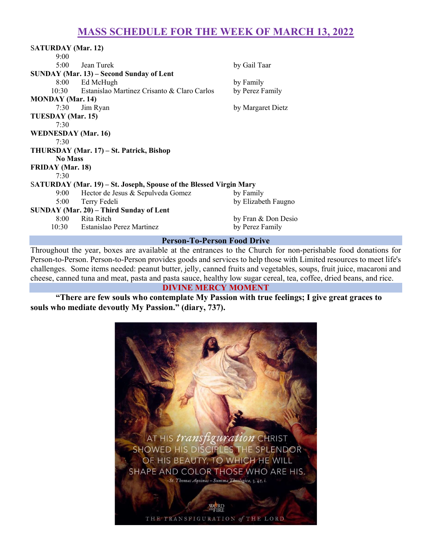# MASS SCHEDULE FOR THE WEEK OF MARCH 13, 2022

| <b>SATURDAY</b> (Mar. 12)                                          |                                                   |                     |
|--------------------------------------------------------------------|---------------------------------------------------|---------------------|
| 9:00                                                               |                                                   |                     |
| $5:00^{-}$                                                         | Jean Turek                                        | by Gail Taar        |
| SUNDAY (Mar. 13) – Second Sunday of Lent                           |                                                   |                     |
|                                                                    | 8:00 Ed McHugh                                    | by Family           |
|                                                                    | 10:30 Estanislao Martinez Crisanto & Claro Carlos | by Perez Family     |
| <b>MONDAY</b> (Mar. 14)                                            |                                                   |                     |
| 7:30                                                               | Jim Ryan                                          | by Margaret Dietz   |
| TUESDAY (Mar. 15)                                                  |                                                   |                     |
| 7:30                                                               |                                                   |                     |
| <b>WEDNESDAY</b> (Mar. 16)                                         |                                                   |                     |
| 7:30                                                               |                                                   |                     |
| THURSDAY (Mar. 17) – St. Patrick, Bishop                           |                                                   |                     |
| <b>No Mass</b>                                                     |                                                   |                     |
| <b>FRIDAY</b> (Mar. 18)                                            |                                                   |                     |
| 7:30                                                               |                                                   |                     |
| SATURDAY (Mar. 19) – St. Joseph, Spouse of the Blessed Virgin Mary |                                                   |                     |
|                                                                    | 9:00 Hector de Jesus & Sepulveda Gomez            | by Family           |
| $5:00^{-}$                                                         | Terry Fedeli                                      | by Elizabeth Faugno |
| SUNDAY (Mar. 20) - Third Sunday of Lent                            |                                                   |                     |
|                                                                    | 8:00 Rita Ritch                                   | by Fran & Don Desio |
|                                                                    | 10:30 Estanislao Perez Martinez                   | by Perez Family     |
|                                                                    | <b>Person-To-Person Food Drive</b>                |                     |

Throughout the year, boxes are available at the entrances to the Church for non-perishable food donations for Person-to-Person. Person-to-Person provides goods and services to help those with Limited resources to meet life's challenges. Some items needed: peanut butter, jelly, canned fruits and vegetables, soups, fruit juice, macaroni and cheese, canned tuna and meat, pasta and pasta sauce, healthy low sugar cereal, tea, coffee, dried beans, and rice.

#### DIVINE MERCY MOMENT

"There are few souls who contemplate My Passion with true feelings; I give great graces to souls who mediate devoutly My Passion." (diary, 737).